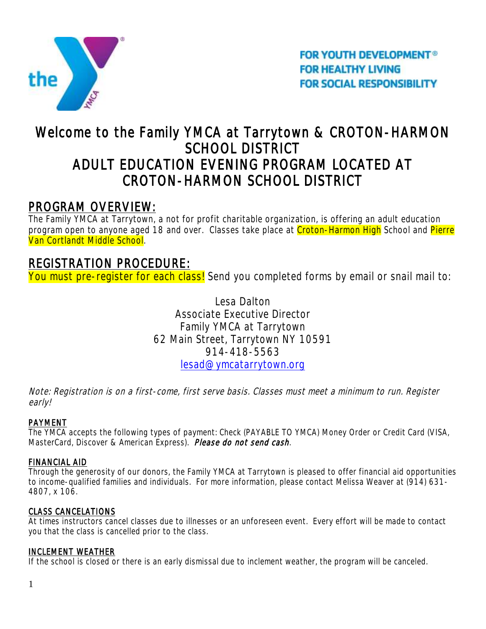

**FOR YOUTH DEVELOPMENT<sup>®</sup> FOR HEALTHY LIVING FOR SOCIAL RESPONSIBILITY** 

# Welcome to the Family YMCA at Tarrytown & CROTON-HARMON SCHOOL DISTRICT ADULT EDUCATION EVENING PROGRAM LOCATED AT CROTON-HARMON SCHOOL DISTRICT

# PROGRAM OVERVIEW:

The Family YMCA at Tarrytown, a not for profit charitable organization, is offering an adult education program open to anyone aged 18 and over. Classes take place at Croton-Harmon High School and Pierre Van Cortlandt Middle School.

# REGISTRATION PROCEDURE:

You must pre-register for each class! Send you completed forms by email or snail mail to:

Lesa Dalton Associate Executive Director Family YMCA at Tarrytown 62 Main Street, Tarrytown NY 10591 914-418-5563 [lesad@ymcatarrytown.org](mailto:lesad@ymcatarrytown.org)

Note: Registration is on a first-come, first serve basis. Classes must meet a minimum to run. Register early!

# PAYMENT

The YMCA accepts the following types of payment: Check (PAYABLE TO YMCA) Money Order or Credit Card (VISA, MasterCard, Discover & American Express). Please do not send cash.

# FINANCIAL AID

Through the generosity of our donors, the Family YMCA at Tarrytown is pleased to offer financial aid opportunities to income-qualified families and individuals. For more information, please contact Melissa Weaver at (914) 631- 4807, x 106.

# CLASS CANCELATIONS

At times instructors cancel classes due to illnesses or an unforeseen event. Every effort will be made to contact you that the class is cancelled prior to the class.

# INCLEMENT WEATHER

If the school is closed or there is an early dismissal due to inclement weather, the program will be canceled.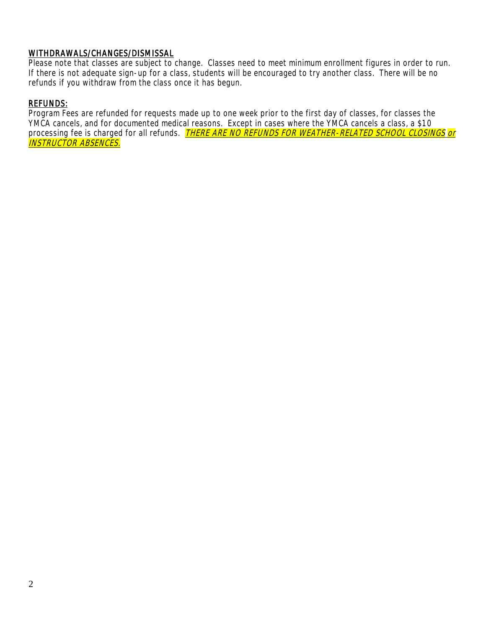### WITHDRAWALS/CHANGES/DISMISSAL

Please note that classes are subject to change. Classes need to meet minimum enrollment figures in order to run. If there is not adequate sign-up for a class, students will be encouraged to try another class. There will be no refunds if you withdraw from the class once it has begun.

#### REFUNDS:

Program Fees are refunded for requests made up to one week prior to the first day of classes, for classes the YMCA cancels, and for documented medical reasons. Except in cases where the YMCA cancels a class, a \$10 processing fee is charged for all refunds. *THERE ARE NO REFUNDS FOR WEATHER-RELATED SCHOOL CLOSINGS or* INSTRUCTOR ABSENCES.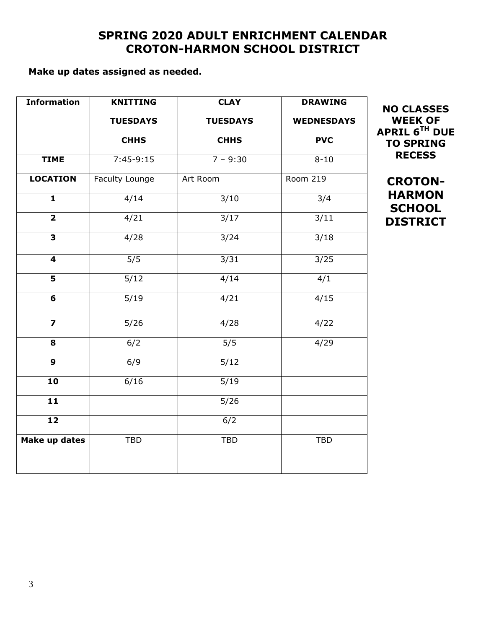# **SPRING 2020 ADULT ENRICHMENT CALENDAR CROTON-HARMON SCHOOL DISTRICT**

# **Make up dates assigned as needed.**

| <b>Information</b>      | <b>KNITTING</b>  | <b>CLAY</b>      | <b>DRAWING</b>    |
|-------------------------|------------------|------------------|-------------------|
|                         | <b>TUESDAYS</b>  | <b>TUESDAYS</b>  | <b>WEDNESDAYS</b> |
|                         | <b>CHHS</b>      | <b>CHHS</b>      | <b>PVC</b>        |
| <b>TIME</b>             | $7:45-9:15$      | $7 - 9:30$       | $8 - 10$          |
| <b>LOCATION</b>         | Faculty Lounge   | Art Room         | <b>Room 219</b>   |
| $\mathbf{1}$            | 4/14             | 3/10             | 3/4               |
| $\overline{2}$          | 4/21             | $\frac{3}{17}$   | 3/11              |
| $\overline{\mathbf{3}}$ | 4/28             | 3/24             | 3/18              |
| 4                       | 5/5              | 3/31             | 3/25              |
| $\overline{\mathbf{5}}$ | 5/12             | 4/14             | 4/1               |
| $\overline{\mathbf{6}}$ | 5/19             | 4/21             | 4/15              |
| $\overline{\mathbf{z}}$ | 5/26             | 4/28             | 4/22              |
| 8                       | 6/2              | $\overline{5/5}$ | 4/29              |
| $\mathbf{9}$            | $\overline{6/9}$ | 5/12             |                   |
| $\overline{10}$         | 6/16             | 5/19             |                   |
| $\overline{11}$         |                  | 5/26             |                   |
| 12                      |                  | 6/2              |                   |
| <b>Make up dates</b>    | <b>TBD</b>       | <b>TBD</b>       | <b>TBD</b>        |
|                         |                  |                  |                   |

**APRIL 6TH DUE TO SPRING RECESS CROTON-**

**NO CLASSES WEEK OF** 

**HARMON SCHOOL DISTRICT**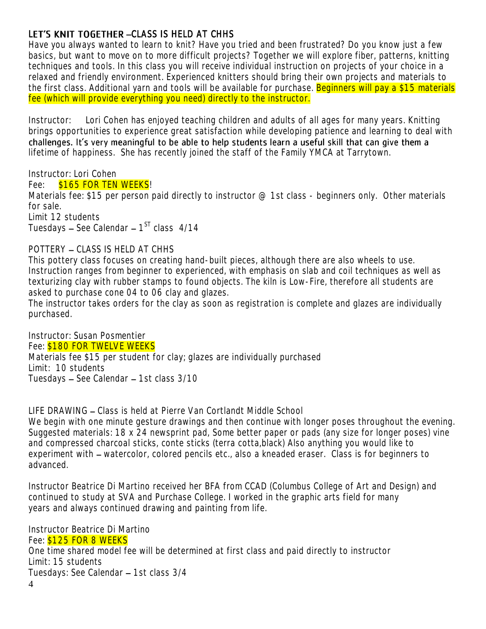# LET'S KNIT TOGETHER - CLASS IS HELD AT CHHS

Have you always wanted to learn to knit? Have you tried and been frustrated? Do you know just a few basics, but want to move on to more difficult projects? Together we will explore fiber, patterns, knitting techniques and tools. In this class you will receive individual instruction on projects of your choice in a relaxed and friendly environment. Experienced knitters should bring their own projects and materials to the first class. Additional yarn and tools will be available for purchase. Beginners will pay a \$15 materials fee (which will provide everything you need) directly to the instructor.

Instructor: Lori Cohen has enjoyed teaching children and adults of all ages for many years. Knitting brings opportunities to experience great satisfaction while developing patience and learning to deal with challenges. It's very meaningful to be able to help students learn a useful skill that can give them a lifetime of happiness. She has recently joined the staff of the Family YMCA at Tarrytown.

Instructor: Lori Cohen Fee: \$165 FOR TEN WEEKS! Materials fee: \$15 per person paid directly to instructor  $\varnothing$  1st class - beginners only. Other materials for sale. Limit 12 students Tuesdays – See Calendar – 1<sup>st</sup> class 4/14

### POTTERY - CLASS IS HELD AT CHHS

This pottery class focuses on creating hand-built pieces, although there are also wheels to use. Instruction ranges from beginner to experienced, with emphasis on slab and coil techniques as well as texturizing clay with rubber stamps to found objects. The kiln is Low-Fire, therefore all students are asked to purchase cone 04 to 06 clay and glazes.

The instructor takes orders for the clay as soon as registration is complete and glazes are individually purchased.

Instructor: Susan Posmentier Fee: \$180 FOR TWELVE WEEKS Materials fee \$15 per student for clay; glazes are individually purchased Limit: 10 students Tuesdays - See Calendar - 1st class 3/10

LIFE DRAWING – Class is held at Pierre Van Cortlandt Middle School

We begin with one minute gesture drawings and then continue with longer poses throughout the evening. Suggested materials: 18 x 24 newsprint pad, Some better paper or pads (any size for longer poses) vine and compressed charcoal sticks, conte sticks (terra cotta,black) Also anything you would like to experiment with – watercolor, colored pencils etc., also a kneaded eraser. Class is for beginners to advanced.

Instructor Beatrice Di Martino received her BFA from CCAD (Columbus College of Art and Design) and continued to study at SVA and Purchase College. I worked in the graphic arts field for many years and always continued drawing and painting from life.

Instructor Beatrice Di Martino Fee: **\$125 FOR 8 WEEKS** One time shared model fee will be determined at first class and paid directly to instructor Limit: 15 students Tuesdays: See Calendar - 1st class 3/4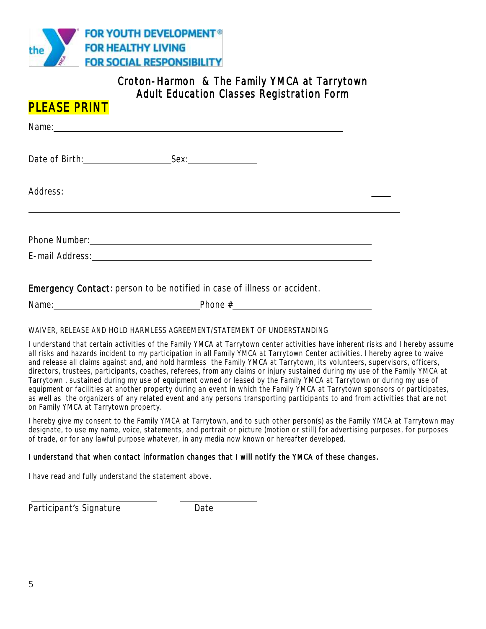

# Croton-Harmon & The Family YMCA at Tarrytown Adult Education Classes Registration Form

| <b>PLEASE PRINT</b>                                                                                                                                                                                                            |      |  |
|--------------------------------------------------------------------------------------------------------------------------------------------------------------------------------------------------------------------------------|------|--|
| Name: Name: Name: Name: Name: Name: Name: Name: Name: Name: Name: Name: Name: Name: Name: Name: Name: Name: Name: Name: Name: Name: Name: Name: Name: Name: Name: Name: Name: Name: Name: Name: Name: Name: Name: Name: Name:  |      |  |
| Date of Birth: <u>Cambridge Contains and State of Birth:</u>                                                                                                                                                                   | Sex. |  |
| Address: <u>______________________________</u>                                                                                                                                                                                 |      |  |
| E-mail Address: Management Address: Management Address: Management Address: Management Address: Management Address: Management Address: Management Address: Management Address: Management Address: Management Address: Manage |      |  |
|                                                                                                                                                                                                                                |      |  |

**Emergency Contact:** person to be notified in case of illness or accident.

#### WAIVER, RELEASE AND HOLD HARMLESS AGREEMENT/STATEMENT OF UNDERSTANDING

I understand that certain activities of the Family YMCA at Tarrytown center activities have inherent risks and I hereby assume all risks and hazards incident to my participation in all Family YMCA at Tarrytown Center activities. I hereby agree to waive and release all claims against and, and hold harmless the Family YMCA at Tarrytown, its volunteers, supervisors, officers, directors, trustees, participants, coaches, referees, from any claims or injury sustained during my use of the Family YMCA at Tarrytown , sustained during my use of equipment owned or leased by the Family YMCA at Tarrytown or during my use of equipment or facilities at another property during an event in which the Family YMCA at Tarrytown sponsors or participates, as well as the organizers of any related event and any persons transporting participants to and from activities that are not on Family YMCA at Tarrytown property.

I hereby give my consent to the Family YMCA at Tarrytown, and to such other person(s) as the Family YMCA at Tarrytown may designate, to use my name, voice, statements, and portrait or picture (motion or still) for advertising purposes, for purposes of trade, or for any lawful purpose whatever, in any media now known or hereafter developed.

#### I understand that when contact information changes that I will notify the YMCA of these changes.

I have read and fully understand the statement above.

 $\overline{a}$ 

Participant's Signature **Example 2018** Date